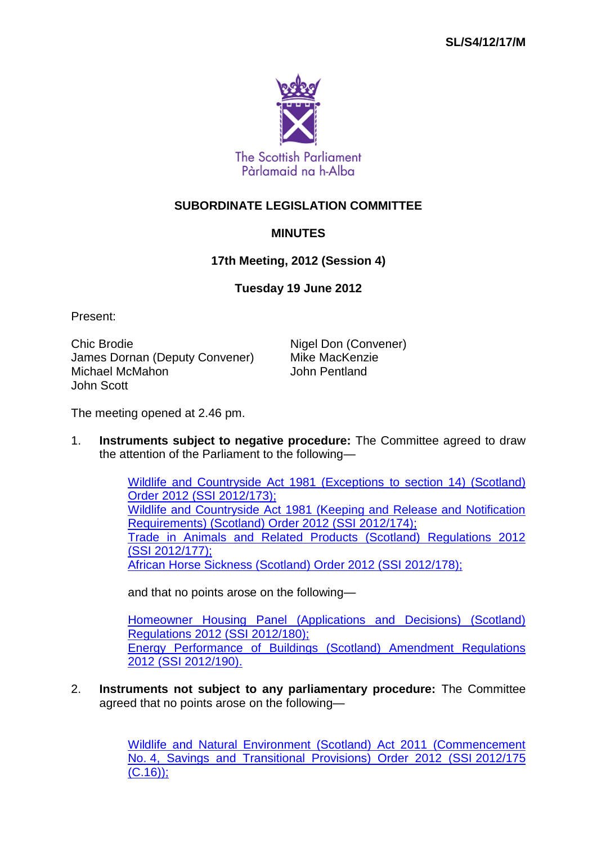

## **SUBORDINATE LEGISLATION COMMITTEE**

## **MINUTES**

## **17th Meeting, 2012 (Session 4)**

## **Tuesday 19 June 2012**

Present:

Chic Brodie **Nigel Don (Convener)** James Dornan (Deputy Convener) Mike MacKenzie Michael McMahon John Scott

The meeting opened at 2.46 pm.

1. **Instruments subject to negative procedure:** The Committee agreed to draw the attention of the Parliament to the following—

> [Wildlife and Countryside Act 1981 \(Exceptions](http://www.legislation.gov.uk/ssi/2012/173/contents/made) to section 14) (Scotland) [Order 2012 \(SSI](http://www.legislation.gov.uk/ssi/2012/173/contents/made) 2012/173); [Wildlife and Countryside Act 1981 \(Keeping and Release and Notification](http://www.legislation.gov.uk/ssi/2012/174/contents/made)  [Requirements\) \(Scotland\) Order 2012 \(SSI](http://www.legislation.gov.uk/ssi/2012/174/contents/made) 2012/174); [Trade in Animals and Related Products \(Scotland\) Regulations 2012](http://www.legislation.gov.uk/ssi/2012/177/contents/made)  (SSI [2012/177\);](http://www.legislation.gov.uk/ssi/2012/177/contents/made) [African Horse Sickness \(Scotland\) Order 2012 \(SSI](http://www.legislation.gov.uk/ssi/2012/178/contents/made) 2012/178);

and that no points arose on the following—

[Homeowner Housing Panel \(Applications and Decisions\) \(Scotland\)](http://www.legislation.gov.uk/ssi/2012/180/contents/made)  [Regulations 2012 \(SSI](http://www.legislation.gov.uk/ssi/2012/180/contents/made) 2012/180); [Energy Performance of Buildings \(Scotland\) Amendment Regulations](http://www.legislation.gov.uk/ssi/2012/190/contents/made)  2012 (SSI [2012/190\).](http://www.legislation.gov.uk/ssi/2012/190/contents/made)

2. **Instruments not subject to any parliamentary procedure:** The Committee agreed that no points arose on the following—

> [Wildlife and Natural Environment \(Scotland\) Act 2011 \(Commencement](http://www.legislation.gov.uk/ssi/2012/175/contents/made)  No. [4, Savings and Transitional Provisions\) Order 2012 \(SSI](http://www.legislation.gov.uk/ssi/2012/175/contents/made) 2012/175  $(C.16)$ ;